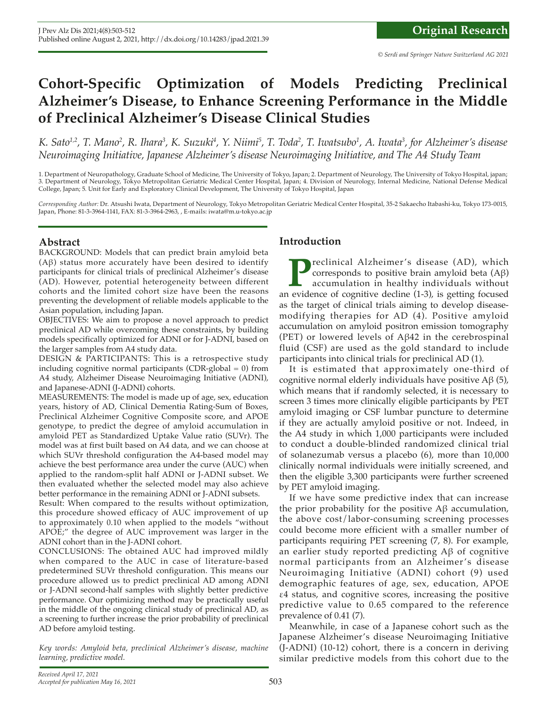# **Cohort-Specific Optimization of Models Predicting Preclinical Alzheimer's Disease, to Enhance Screening Performance in the Middle of Preclinical Alzheimer's Disease Clinical Studies**

K. Sato<sup>1,2</sup>, T. Mano<sup>2</sup>, R. Ihara<sup>3</sup>, K. Suzuki<sup>4</sup>, Y. Niimi<sup>5</sup>, T. Toda<sup>2</sup>, T. Iwatsubo<sup>1</sup>, A. Iwata<sup>3</sup>, for Alzheimer's disease *Neuroimaging Initiative, Japanese Alzheimer's disease Neuroimaging Initiative, and The A4 Study Team*

1. Department of Neuropathology, Graduate School of Medicine, The University of Tokyo, Japan; 2. Department of Neurology, The University of Tokyo Hospital, japan; 3. Department of Neurology, Tokyo Metropolitan Geriatric Medical Center Hospital, Japan; 4. Division of Neurology, Internal Medicine, National Defense Medical College, Japan; 5. Unit for Early and Exploratory Clinical Development, The University of Tokyo Hospital, Japan

*Corresponding Author:* Dr. Atsushi Iwata, Department of Neurology, Tokyo Metropolitan Geriatric Medical Center Hospital, 35-2 Sakaecho Itabashi-ku, Tokyo 173-0015, Japan, Phone: 81-3-3964-1141, FAX: 81-3-3964-2963, , E-mails: iwata@m.u-tokyo.ac.jp

### **Abstract**

BACKGROUND: Models that can predict brain amyloid beta (Aβ) status more accurately have been desired to identify participants for clinical trials of preclinical Alzheimer's disease (AD). However, potential heterogeneity between different cohorts and the limited cohort size have been the reasons preventing the development of reliable models applicable to the Asian population, including Japan.

OBJECTIVES: We aim to propose a novel approach to predict preclinical AD while overcoming these constraints, by building models specifically optimized for ADNI or for J-ADNI, based on the larger samples from A4 study data.

DESIGN & PARTICIPANTS: This is a retrospective study including cognitive normal participants (CDR-global  $= 0$ ) from A4 study, Alzheimer Disease Neuroimaging Initiative (ADNI), and Japanese-ADNI (J-ADNI) cohorts.

MEASUREMENTS: The model is made up of age, sex, education years, history of AD, Clinical Dementia Rating-Sum of Boxes, Preclinical Alzheimer Cognitive Composite score, and APOE genotype, to predict the degree of amyloid accumulation in amyloid PET as Standardized Uptake Value ratio (SUVr). The model was at first built based on A4 data, and we can choose at which SUVr threshold configuration the A4-based model may achieve the best performance area under the curve (AUC) when applied to the random-split half ADNI or J-ADNI subset. We then evaluated whether the selected model may also achieve better performance in the remaining ADNI or J-ADNI subsets.

Result: When compared to the results without optimization, this procedure showed efficacy of AUC improvement of up to approximately 0.10 when applied to the models "without APOE;" the degree of AUC improvement was larger in the ADNI cohort than in the J-ADNI cohort.

CONCLUSIONS: The obtained AUC had improved mildly when compared to the AUC in case of literature-based predetermined SUVr threshold configuration. This means our procedure allowed us to predict preclinical AD among ADNI or J-ADNI second-half samples with slightly better predictive performance. Our optimizing method may be practically useful in the middle of the ongoing clinical study of preclinical AD, as a screening to further increase the prior probability of preclinical AD before amyloid testing.

*Key words: Amyloid beta, preclinical Alzheimer's disease, machine learning, predictive model.*

### **Introduction**

**P**reclinical Alzheimer 's disease (AD), which corresponds to positive brain amyloid beta (Aβ) accumulation in healthy individuals without an evidence of cognitive decline (1-3), is getting focused as the target of clinical trials aiming to develop diseasemodifying therapies for AD (4). Positive amyloid accumulation on amyloid positron emission tomography (PET) or lowered levels of Aβ42 in the cerebrospinal fluid (CSF) are used as the gold standard to include participants into clinical trials for preclinical AD (1).

It is estimated that approximately one-third of cognitive normal elderly individuals have positive Aβ (5), which means that if randomly selected, it is necessary to screen 3 times more clinically eligible participants by PET amyloid imaging or CSF lumbar puncture to determine if they are actually amyloid positive or not. Indeed, in the A4 study in which 1,000 participants were included to conduct a double-blinded randomized clinical trial of solanezumab versus a placebo (6), more than 10,000 clinically normal individuals were initially screened, and then the eligible 3,300 participants were further screened by PET amyloid imaging.

If we have some predictive index that can increase the prior probability for the positive Aβ accumulation, the above cost/labor-consuming screening processes could become more efficient with a smaller number of participants requiring PET screening (7, 8). For example, an earlier study reported predicting Aβ of cognitive normal participants from an Alzheimer 's disease Neuroimaging Initiative (ADNI) cohort (9) used demographic features of age, sex, education, APOE ε4 status, and cognitive scores, increasing the positive predictive value to 0.65 compared to the reference prevalence of 0.41 (7).

Meanwhile, in case of a Japanese cohort such as the Japanese Alzheimer's disease Neuroimaging Initiative (J-ADNI) (10-12) cohort, there is a concern in deriving similar predictive models from this cohort due to the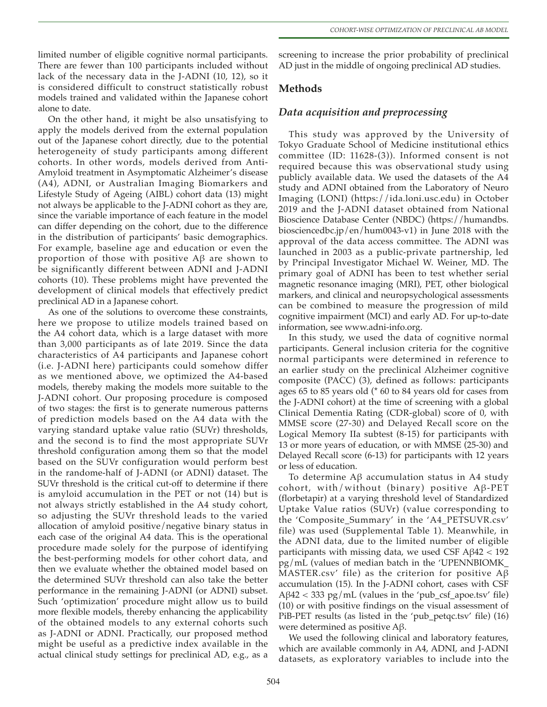limited number of eligible cognitive normal participants. There are fewer than 100 participants included without lack of the necessary data in the J-ADNI (10, 12), so it is considered difficult to construct statistically robust models trained and validated within the Japanese cohort alone to date.

On the other hand, it might be also unsatisfying to apply the models derived from the external population out of the Japanese cohort directly, due to the potential heterogeneity of study participants among different cohorts. In other words, models derived from Anti-Amyloid treatment in Asymptomatic Alzheimer's disease (A4), ADNI, or Australian Imaging Biomarkers and Lifestyle Study of Ageing (AIBL) cohort data (13) might not always be applicable to the J-ADNI cohort as they are, since the variable importance of each feature in the model can differ depending on the cohort, due to the difference in the distribution of participants' basic demographics. For example, baseline age and education or even the proportion of those with positive Aβ are shown to be significantly different between ADNI and J-ADNI cohorts (10). These problems might have prevented the development of clinical models that effectively predict preclinical AD in a Japanese cohort.

As one of the solutions to overcome these constraints, here we propose to utilize models trained based on the A4 cohort data, which is a large dataset with more than 3,000 participants as of late 2019. Since the data characteristics of A4 participants and Japanese cohort (i.e. J-ADNI here) participants could somehow differ as we mentioned above, we optimized the A4-based models, thereby making the models more suitable to the J-ADNI cohort. Our proposing procedure is composed of two stages: the first is to generate numerous patterns of prediction models based on the A4 data with the varying standard uptake value ratio (SUVr) thresholds, and the second is to find the most appropriate SUVr threshold configuration among them so that the model based on the SUVr configuration would perform best in the randome-half of J-ADNI (or ADNI) dataset. The SUVr threshold is the critical cut-off to determine if there is amyloid accumulation in the PET or not (14) but is not always strictly established in the A4 study cohort, so adjusting the SUVr threshold leads to the varied allocation of amyloid positive/negative binary status in each case of the original A4 data. This is the operational procedure made solely for the purpose of identifying the best-performing models for other cohort data, and then we evaluate whether the obtained model based on the determined SUVr threshold can also take the better performance in the remaining J-ADNI (or ADNI) subset. Such 'optimization' procedure might allow us to build more flexible models, thereby enhancing the applicability of the obtained models to any external cohorts such as J-ADNI or ADNI. Practically, our proposed method might be useful as a predictive index available in the actual clinical study settings for preclinical AD, e.g., as a

screening to increase the prior probability of preclinical AD just in the middle of ongoing preclinical AD studies.

### **Methods**

### *Data acquisition and preprocessing*

This study was approved by the University of Tokyo Graduate School of Medicine institutional ethics committee (ID: 11628-(3)). Informed consent is not required because this was observational study using publicly available data. We used the datasets of the A4 study and ADNI obtained from the Laboratory of Neuro Imaging (LONI) (https://ida.loni.usc.edu) in October 2019 and the J-ADNI dataset obtained from National Bioscience Database Center (NBDC) (https://humandbs. biosciencedbc.jp/en/hum0043-v1) in June 2018 with the approval of the data access committee. The ADNI was launched in 2003 as a public-private partnership, led by Principal Investigator Michael W. Weiner, MD. The primary goal of ADNI has been to test whether serial magnetic resonance imaging (MRI), PET, other biological markers, and clinical and neuropsychological assessments can be combined to measure the progression of mild cognitive impairment (MCI) and early AD. For up-to-date information, see www.adni-info.org.

In this study, we used the data of cognitive normal participants. General inclusion criteria for the cognitive normal participants were determined in reference to an earlier study on the preclinical Alzheimer cognitive composite (PACC) (3), defined as follows: participants ages 65 to 85 years old (\* 60 to 84 years old for cases from the J-ADNI cohort) at the time of screening with a global Clinical Dementia Rating (CDR-global) score of 0, with MMSE score (27-30) and Delayed Recall score on the Logical Memory IIa subtest (8-15) for participants with 13 or more years of education, or with MMSE (25-30) and Delayed Recall score (6-13) for participants with 12 years or less of education.

To determine Aβ accumulation status in A4 study cohort, with/without (binary) positive Aβ-PET (florbetapir) at a varying threshold level of Standardized Uptake Value ratios (SUVr) (value corresponding to the 'Composite\_Summary' in the 'A4\_PETSUVR.csv' file) was used (Supplemental Table 1). Meanwhile, in the ADNI data, due to the limited number of eligible participants with missing data, we used CSF Aβ42 < 192 pg/mL (values of median batch in the 'UPENNBIOMK\_ MASTER.csv' file) as the criterion for positive Aβ accumulation (15). In the J-ADNI cohort, cases with CSF  $\rm A\beta42 < 333\ pg/mL$  (values in the 'pub\_csf\_apoe.tsv' file) (10) or with positive findings on the visual assessment of PiB-PET results (as listed in the 'pub\_petqc.tsv' file) (16) were determined as positive Aβ.

We used the following clinical and laboratory features, which are available commonly in A4, ADNI, and J-ADNI datasets, as exploratory variables to include into the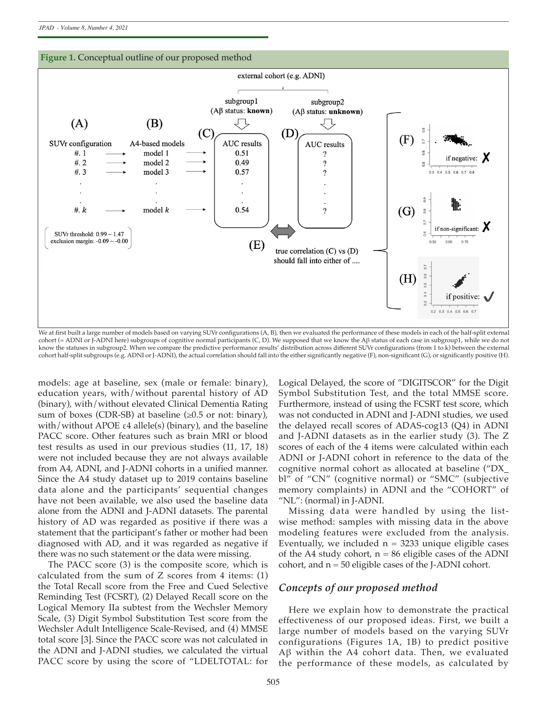

We at first built a large number of models based on varying SUVr configurations (A, B), then we evaluated the performance of these models in each of the half-split external cohort (= ADNI or J-ADNI here) subgroups of cognitive normal participants (C, D). We supposed that we know the Aβ status of each case in subgroup1, while we do not know the statuses in subgroup2. When we compare the predictive performance results' distribution across diferent SUVr confgurations (from 1 to k) between the external cohort half-split subgroups (e.g. ADNI or J-ADNI), the actual correlation should fall into the either signifcantly negative (F), non-signifcant (G), or signifcantly positive (H).

models: age at baseline, sex (male or female: binary), education years, with/without parental history of AD (binary), with/without elevated Clinical Dementia Rating sum of boxes (CDR-SB) at baseline  $(\geq 0.5$  or not: binary), with/without APOE ε4 allele(s) (binary), and the baseline PACC score. Other features such as brain MRI or blood test results as used in our previous studies (11, 17, 18) were not included because they are not always available from A4, ADNI, and J-ADNI cohorts in a unified manner. Since the A4 study dataset up to 2019 contains baseline data alone and the participants' sequential changes have not been available, we also used the baseline data alone from the ADNI and J-ADNI datasets. The parental history of AD was regarded as positive if there was a statement that the participant's father or mother had been diagnosed with AD, and it was regarded as negative if there was no such statement or the data were missing.

The PACC score (3) is the composite score, which is calculated from the sum of Z scores from 4 items: (1) the Total Recall score from the Free and Cued Selective Reminding Test (FCSRT), (2) Delayed Recall score on the Logical Memory IIa subtest from the Wechsler Memory Scale, (3) Digit Symbol Substitution Test score from the Wechsler Adult Intelligence Scale-Revised, and (4) MMSE total score [3]. Since the PACC score was not calculated in the ADNI and J-ADNI studies, we calculated the virtual PACC score by using the score of "LDELTOTAL: for Logical Delayed, the score of "DIGITSCOR" for the Digit Symbol Substitution Test, and the total MMSE score. Furthermore, instead of using the FCSRT test score, which was not conducted in ADNI and J-ADNI studies, we used the delayed recall scores of ADAS-cog13 (Q4) in ADNI and J-ADNI datasets as in the earlier study (3). The Z scores of each of the 4 items were calculated within each ADNI or J-ADNI cohort in reference to the data of the cognitive normal cohort as allocated at baseline ("DX\_ bl" of "CN" (cognitive normal) or "SMC" (subjective memory complaints) in ADNI and the "COHORT" of "NL": (normal) in J-ADNI.

Missing data were handled by using the listwise method: samples with missing data in the above modeling features were excluded from the analysis. Eventually, we included  $n = 3233$  unique eligible cases of the A4 study cohort,  $n = 86$  eligible cases of the ADNI cohort, and  $n = 50$  eligible cases of the J-ADNI cohort.

### *Concepts of our proposed method*

Here we explain how to demonstrate the practical effectiveness of our proposed ideas. First, we built a large number of models based on the varying SUVr configurations (Figures 1A, 1B) to predict positive Aβ within the A4 cohort data. Then, we evaluated the performance of these models, as calculated by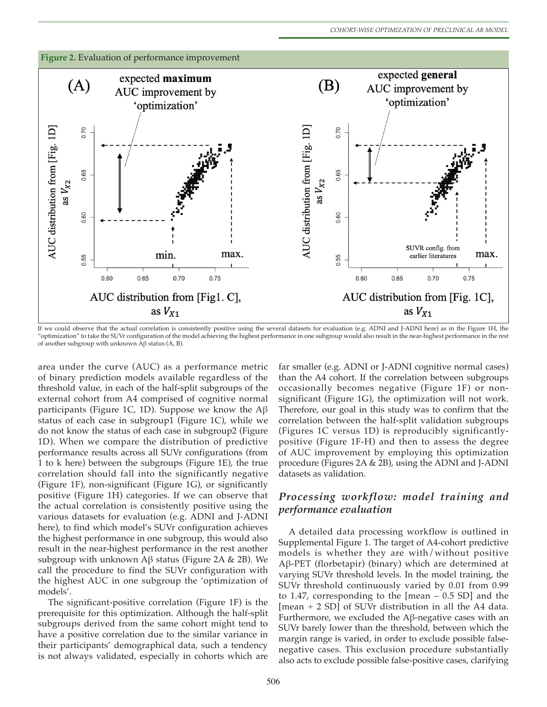

If we could observe that the actual correlation is consistently positive using the several datasets for evaluation (e.g. ADNI and J-ADNI here) as in the Figure 1H, the "optimization" to take the SUVr confguration of the model achieving the highest performance in one subgroup would also result in the near-highest performance in the rest of another subgroup with unknown Aβ status (A, B).

area under the curve (AUC) as a performance metric of binary prediction models available regardless of the threshold value, in each of the half-split subgroups of the external cohort from A4 comprised of cognitive normal participants (Figure 1C, 1D). Suppose we know the  $A\beta$ status of each case in subgroup1 (Figure 1C), while we do not know the status of each case in subgroup2 (Figure 1D). When we compare the distribution of predictive performance results across all SUVr configurations (from 1 to k here) between the subgroups (Figure 1E), the true correlation should fall into the significantly negative (Figure 1F), non-significant (Figure 1G), or significantly positive (Figure 1H) categories. If we can observe that the actual correlation is consistently positive using the various datasets for evaluation (e.g. ADNI and J-ADNI here), to find which model's SUVr configuration achieves the highest performance in one subgroup, this would also result in the near-highest performance in the rest another subgroup with unknown Aβ status (Figure 2A & 2B). We call the procedure to find the SUVr configuration with the highest AUC in one subgroup the 'optimization of models'.

The significant-positive correlation (Figure 1F) is the prerequisite for this optimization. Although the half-split subgroups derived from the same cohort might tend to have a positive correlation due to the similar variance in their participants' demographical data, such a tendency is not always validated, especially in cohorts which are far smaller (e.g. ADNI or J-ADNI cognitive normal cases) than the A4 cohort. If the correlation between subgroups occasionally becomes negative (Figure 1F) or nonsignificant (Figure 1G), the optimization will not work. Therefore, our goal in this study was to confirm that the correlation between the half-split validation subgroups (Figures 1C versus 1D) is reproducibly significantlypositive (Figure 1F-H) and then to assess the degree of AUC improvement by employing this optimization procedure (Figures 2A & 2B), using the ADNI and J-ADNI datasets as validation.

## *Processing workflow: model training and performance evaluation*

A detailed data processing workflow is outlined in Supplemental Figure 1. The target of A4-cohort predictive models is whether they are with/without positive Aβ-PET (florbetapir) (binary) which are determined at varying SUVr threshold levels. In the model training, the SUVr threshold continuously varied by 0.01 from 0.99 to 1.47, corresponding to the [mean – 0.5 SD] and the [mean + 2 SD] of SUVr distribution in all the A4 data. Furthermore, we excluded the Aβ-negative cases with an SUVr barely lower than the threshold, between which the margin range is varied, in order to exclude possible falsenegative cases. This exclusion procedure substantially also acts to exclude possible false-positive cases, clarifying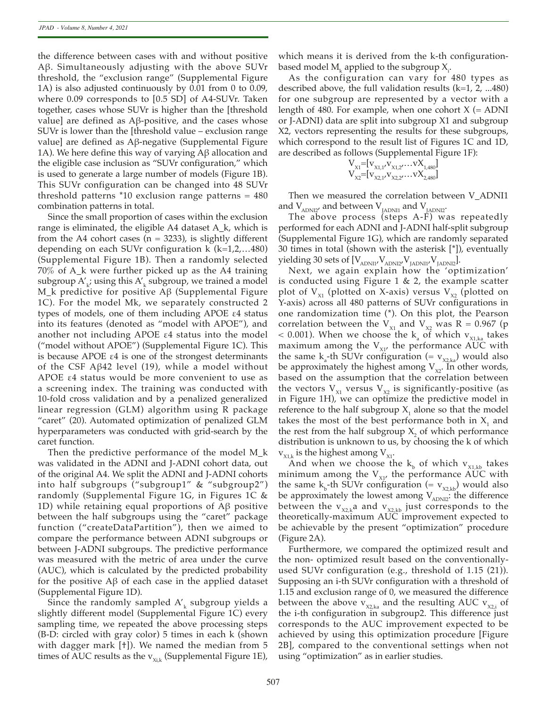the difference between cases with and without positive Aβ. Simultaneously adjusting with the above SUVr threshold, the "exclusion range" (Supplemental Figure 1A) is also adjusted continuously by 0.01 from 0 to 0.09, where 0.09 corresponds to [0.5 SD] of A4-SUVr. Taken together, cases whose SUVr is higher than the [threshold value] are defined as Aβ-positive, and the cases whose SUVr is lower than the [threshold value – exclusion range value] are defined as Aβ-negative (Supplemental Figure 1A). We here define this way of varying Aβ allocation and the eligible case inclusion as "SUVr configuration," which is used to generate a large number of models (Figure 1B). This SUVr configuration can be changed into 48 SUVr threshold patterns  $*10$  exclusion range patterns =  $480$ combination patterns in total.

Since the small proportion of cases within the exclusion range is eliminated, the eligible A4 dataset A\_k, which is from the A4 cohort cases ( $n = 3233$ ), is slightly different depending on each SUVr configuration  $k$  ( $k=1,2,...480$ ) (Supplemental Figure 1B). Then a randomly selected 70% of A\_k were further picked up as the A4 training subgroup  $A'_{k'}$  using this  $A'_k$  subgroup, we trained a model M\_k predictive for positive Aβ (Supplemental Figure 1C). For the model Mk, we separately constructed 2 types of models, one of them including APOE ε4 status into its features (denoted as "model with APOE"), and another not including APOE ε4 status into the model ("model without APOE") (Supplemental Figure 1C). This is because APOE  $\varepsilon$ 4 is one of the strongest determinants of the CSF Aβ42 level (19), while a model without APOE ε4 status would be more convenient to use as a screening index. The training was conducted with 10-fold cross validation and by a penalized generalized linear regression (GLM) algorithm using R package "caret" (20). Automated optimization of penalized GLM hyperparameters was conducted with grid-search by the caret function.

Then the predictive performance of the model M\_k was validated in the ADNI and J-ADNI cohort data, out of the original A4. We split the ADNI and J-ADNI cohorts into half subgroups ("subgroup1" & "subgroup2") randomly (Supplemental Figure 1G, in Figures 1C & 1D) while retaining equal proportions of Aβ positive between the half subgroups using the "caret" package function ("createDataPartition"), then we aimed to compare the performance between ADNI subgroups or between J-ADNI subgroups. The predictive performance was measured with the metric of area under the curve (AUC), which is calculated by the predicted probability for the positive Aβ of each case in the applied dataset (Supplemental Figure 1D).

Since the randomly sampled  $A'_k$  subgroup yields a slightly different model (Supplemental Figure 1C) every sampling time, we repeated the above processing steps (B-D: circled with gray color) 5 times in each k (shown with dagger mark [†]). We named the median from 5 times of AUC results as the  $v_{Xik}$  (Supplemental Figure 1E), which means it is derived from the k-th configurationbased model  $M_k$  applied to the subgroup  $X_i$ .

As the configuration can vary for 480 types as described above, the full validation results  $(k=1, 2, ...480)$ for one subgroup are represented by a vector with a length of 480. For example, when one cohort  $X$  (= ADNI or J-ADNI) data are split into subgroup X1 and subgroup X2, vectors representing the results for these subgroups, which correspond to the result list of Figures 1C and 1D, are described as follows (Supplemental Figure 1F):

$$
\mathbf{V}_{\mathbf{x}_1} = [\mathbf{v}_{\mathbf{x}_1,1'} \mathbf{v}_{\mathbf{x}_1,2'} \dots \mathbf{v}_{\mathbf{x}_1,480}]\n\mathbf{V}_{\mathbf{x}_2} = [\mathbf{v}_{\mathbf{x}_2,1'} \mathbf{v}_{\mathbf{x}_2,2'} \dots \mathbf{v}_{\mathbf{x}_{2,480}}]\n\mathbf{V}_{\mathbf{x}_3} = [\mathbf{v}_{\mathbf{x}_3,1'} \mathbf{v}_{\mathbf{x}_3,2'} \dots \mathbf{v}_{\mathbf{x}_{2,480}}]\n\mathbf{V}_{\mathbf{x}_3} = [\mathbf{v}_{\mathbf{x}_3,1'} \mathbf{v}_{\mathbf{x}_3,2'} \dots \mathbf{v}_{\mathbf{x}_{2,480}}]\n\mathbf{V}_{\mathbf{x}_3} = [\mathbf{v}_{\mathbf{x}_3,1'} \mathbf{v}_{\mathbf{x}_3,2'} \dots \mathbf{v}_{\mathbf{x}_{2,480}}]\n\mathbf{V}_{\mathbf{x}_3} = [\mathbf{v}_{\mathbf{x}_3,1'} \mathbf{v}_{\mathbf{x}_3,2'} \dots \mathbf{v}_{\mathbf{x}_{2,480}}]\n\mathbf{V}_{\mathbf{x}_3} = [\mathbf{v}_{\mathbf{x}_3,1'} \mathbf{v}_{\mathbf{x}_3,2'} \dots \mathbf{v}_{\mathbf{x}_{2,480}}]\n\mathbf{V}_{\mathbf{x}_3} = [\mathbf{v}_{\mathbf{x}_3,1'} \mathbf{v}_{\mathbf{x}_3,2'} \dots \mathbf{v}_{\mathbf{x}_{2,480}}]\n\mathbf{V}_{\mathbf{x}_3} = [\mathbf{v}_{\mathbf{x}_3,1'} \mathbf{v}_{\mathbf{x}_3,2'} \dots \mathbf{v}_{\mathbf{x}_{2,480}}]\n\mathbf{V}_{\mathbf{x}_3} = [\mathbf{v}_{\mathbf{x}_3,1'} \mathbf{v}_{\mathbf{x}_3,2'} \dots \mathbf{v}_{\mathbf{x}_{2,480}}]\n\mathbf{V}_{\mathbf{x}_3} = [\mathbf{v}_{\mathbf{x}_3,1'} \mathbf{v}_{\mathbf{x}_3,2'} \dots \mathbf{v}_{\mathbf{x}_{2,480}}]\n\mathbf{V}_{\mathbf{x}_3} = [\mathbf{v}_{\mathbf{x}_3,1'} \mathbf{v}_{\mathbf{x}_3,2'} \
$$

Then we measured the correlation between V\_ADNI1 and  $V_{\text{ADNI2}}$ , and between  $V_{\text{JADNI1}}$  and  $V_{\text{JADNI2}}$ .

The above process (steps A-F) was repeatedly performed for each ADNI and J-ADNI half-split subgroup (Supplemental Figure 1G), which are randomly separated 30 times in total (shown with the asterisk [\*]), eventually yielding 30 sets of  $[V_{\scriptsize \textrm{\tiny ADNI1'}}V_{\scriptsize \textrm{\tiny ADNI2'}}V_{\scriptsize \textrm{\tiny JADNI1'}}V_{\scriptsize \textrm{\tiny JADNI2}}].$ 

Next, we again explain how the 'optimization' is conducted using Figure 1 & 2, the example scatter plot of  $V_{X1}$  (plotted on X-axis) versus  $V_{X2}$  (plotted on Y-axis) across all 480 patterns of SUVr configurations in one randomization time (\*). On this plot, the Pearson correlation between the  $V_{X1}$  and  $V_{X2}$  was R = 0.967 (p  $<$  0.001). When we choose the  $k_{a}$  of which  $v_{x_{1},k_{a}}$  takes maximum among the  $V_{X1'}$ , the performance AUC with the same  $k_a$ -th SUVr configuration (=  $v_{x2,ka}$ ) would also be approximately the highest among  $V_{X2}$ . In other words, based on the assumption that the correlation between the vectors  $V_{x1}$  versus  $V_{x2}$  is significantly-positive (as in Figure 1H), we can optimize the predictive model in reference to the half subgroup  $X_1$  alone so that the model takes the most of the best performance both in  $X_1$  and the rest from the half subgroup  $X_2$  of which performance distribution is unknown to us, by choosing the k of which  $v_{x_{1,k}}$  is the highest among  $V_{x_1}$ .

And when we choose the  $k_b$  of which  $v_{x1,kb}$  takes minimum among the  $V_{X1'}$  the performance AUC with the same  $k_{b}$ -th SUVr configuration (=  $v_{x2,kb}$ ) would also be approximately the lowest among  $V_{ADN12}$ : the difference between the  $v_{x_{2,k}}$ a and  $v_{x_{2,k}}$  just corresponds to the theoretically-maximum AUC improvement expected to be achievable by the present "optimization" procedure (Figure 2A).

Furthermore, we compared the optimized result and the non- optimized result based on the conventionallyused SUVr configuration (e.g., threshold of 1.15 (21)). Supposing an i-th SUVr configuration with a threshold of 1.15 and exclusion range of 0, we measured the difference between the above  $v_{x2ka}$  and the resulting AUC  $v_{x2i}$  of the i-th configuration in subgroup2. This difference just corresponds to the AUC improvement expected to be achieved by using this optimization procedure [Figure 2B], compared to the conventional settings when not using "optimization" as in earlier studies.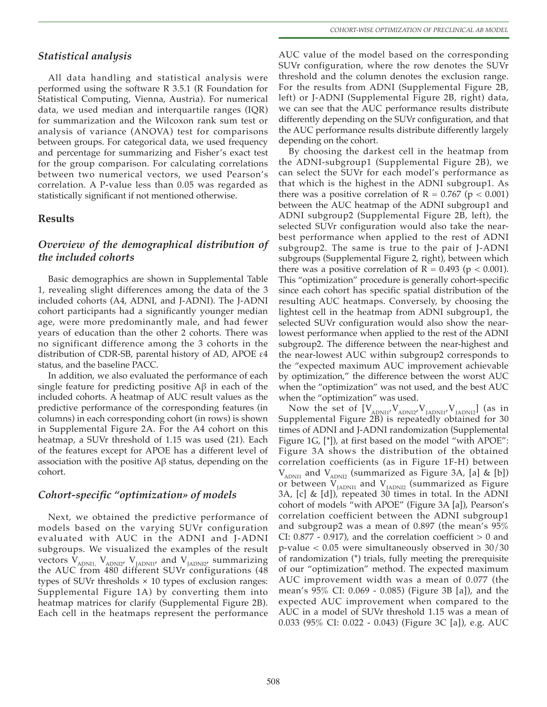# *Statistical analysis*

All data handling and statistical analysis were performed using the software R 3.5.1 (R Foundation for Statistical Computing, Vienna, Austria). For numerical data, we used median and interquartile ranges (IQR) for summarization and the Wilcoxon rank sum test or analysis of variance (ANOVA) test for comparisons between groups. For categorical data, we used frequency and percentage for summarizing and Fisher's exact test for the group comparison. For calculating correlations between two numerical vectors, we used Pearson's correlation. A P-value less than 0.05 was regarded as statistically significant if not mentioned otherwise.

## **Results**

# *Overview of the demographical distribution of the included cohorts*

Basic demographics are shown in Supplemental Table 1, revealing slight differences among the data of the 3 included cohorts (A4, ADNI, and J-ADNI). The J-ADNI cohort participants had a significantly younger median age, were more predominantly male, and had fewer years of education than the other 2 cohorts. There was no significant difference among the 3 cohorts in the distribution of CDR-SB, parental history of AD, APOE ε4 status, and the baseline PACC.

In addition, we also evaluated the performance of each single feature for predicting positive Aβ in each of the included cohorts. A heatmap of AUC result values as the predictive performance of the corresponding features (in columns) in each corresponding cohort (in rows) is shown in Supplemental Figure 2A. For the A4 cohort on this heatmap, a SUVr threshold of 1.15 was used (21). Each of the features except for APOE has a different level of association with the positive Aβ status, depending on the cohort.

## *Cohort-specific "optimization» of models*

Next, we obtained the predictive performance of models based on the varying SUVr configuration evaluated with AUC in the ADNI and J-ADNI subgroups. We visualized the examples of the result vectors  $V_{ADNI}$ ,  $V_{ADNI2}$ ,  $V_{JADNI1}$ , and  $V_{JADNI2}$ , summarizing the AUC from 480 different SUVr configurations (48 types of SUVr thresholds  $\times$  10 types of exclusion ranges: Supplemental Figure 1A) by converting them into heatmap matrices for clarify (Supplemental Figure 2B). Each cell in the heatmaps represent the performance

AUC value of the model based on the corresponding SUVr configuration, where the row denotes the SUVr threshold and the column denotes the exclusion range. For the results from ADNI (Supplemental Figure 2B, left) or J-ADNI (Supplemental Figure 2B, right) data, we can see that the AUC performance results distribute differently depending on the SUVr configuration, and that the AUC performance results distribute differently largely depending on the cohort.

By choosing the darkest cell in the heatmap from the ADNI-subgroup1 (Supplemental Figure 2B), we can select the SUVr for each model's performance as that which is the highest in the ADNI subgroup1. As there was a positive correlation of  $R = 0.767$  ( $p < 0.001$ ) between the AUC heatmap of the ADNI subgroup1 and ADNI subgroup2 (Supplemental Figure 2B, left), the selected SUVr configuration would also take the nearbest performance when applied to the rest of ADNI subgroup2. The same is true to the pair of J-ADNI subgroups (Supplemental Figure 2, right), between which there was a positive correlation of  $R = 0.493$  ( $p < 0.001$ ). This "optimization" procedure is generally cohort-specific since each cohort has specific spatial distribution of the resulting AUC heatmaps. Conversely, by choosing the lightest cell in the heatmap from ADNI subgroup1, the selected SUVr configuration would also show the nearlowest performance when applied to the rest of the ADNI subgroup2. The difference between the near-highest and the near-lowest AUC within subgroup2 corresponds to the "expected maximum AUC improvement achievable by optimization," the difference between the worst AUC when the "optimization" was not used, and the best AUC when the "optimization" was used.

Now the set of  $[V_{ADNII}, V_{ADNII}, V_{JADNII}, V_{JADNII}]$  (as in Supplemental Figure 2B) is repeatedly obtained for 30 times of ADNI and J-ADNI randomization (Supplemental Figure 1G, [\*]), at first based on the model "with APOE": Figure 3A shows the distribution of the obtained correlation coefficients (as in Figure 1F-H) between  $V_{ADNI1}$  and  $V_{ADNI2}$  (summarized as Figure 3A, [a] & [b]) or between  $V_{JADNII}$  and  $V_{JADNII}$  (summarized as Figure 3A, [c] & [d]), repeated 30 times in total. In the ADNI cohort of models "with APOE" (Figure 3A [a]), Pearson's correlation coefficient between the ADNI subgroup1 and subgroup2 was a mean of 0.897 (the mean's 95% CI:  $0.877 - 0.917$ , and the correlation coefficient  $> 0$  and p-value < 0.05 were simultaneously observed in 30/30 of randomization (\*) trials, fully meeting the prerequisite of our "optimization" method. The expected maximum AUC improvement width was a mean of 0.077 (the mean's 95% CI: 0.069 - 0.085) (Figure 3B [a]), and the expected AUC improvement when compared to the AUC in a model of SUVr threshold 1.15 was a mean of 0.033 (95% CI: 0.022 - 0.043) (Figure 3C [a]), e.g. AUC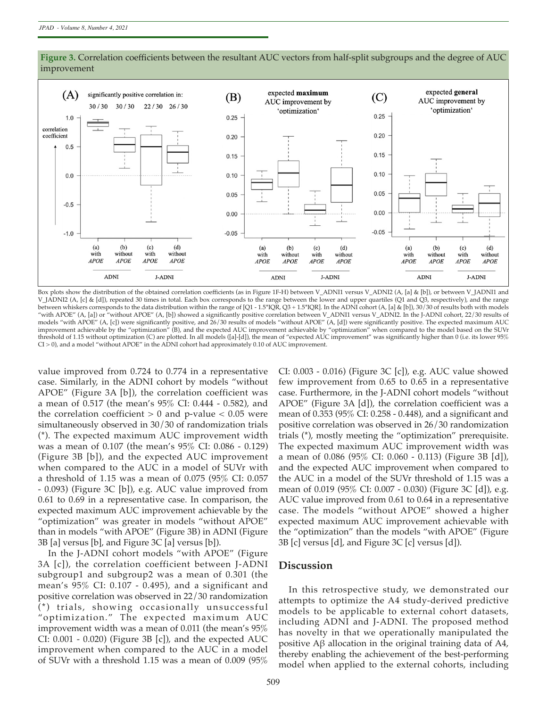

Figure 3. Correlation coefficients between the resultant AUC vectors from half-split subgroups and the degree of AUC improvement

Box plots show the distribution of the obtained correlation coefficients (as in Figure 1F-H) between V\_ADNI1 versus V\_ADNI2 (A, [a] & [b]), or between V\_JADNI1 and V\_JADNI2 (A, [c] & [d]), repeated 30 times in total. Each box corresponds to the range between the lower and upper quartiles (Q1 and Q3, respectively), and the range between whiskers corresponds to the data distribution within the range of [Q1 - 1.5\*IQR, Q3 + 1.5\*IQR]. In the ADNI cohort (A, [a] & [b]), 30/30 of results both with models "with APOE" (A, [a]) or "without APOE" (A, [b]) showed a signifcantly positive correlation between V\_ADNI1 versus V\_ADNI2. In the J-ADNI cohort, 22/30 results of models "with APOE" (A, [c]) were signifcantly positive, and 26/30 results of models "without APOE" (A, [d]) were signifcantly positive. The expected maximum AUC improvement achievable by the "optimization" (B), and the expected AUC improvement achievable by "optimization" when compared to the model based on the SUVr threshold of 1.15 without optimization (C) are plotted. In all models ([a]-[d]), the mean of "expected AUC improvement" was signifcantly higher than 0 (i.e. its lower 95% CI > 0), and a model "without APOE" in the ADNI cohort had approximately 0.10 of AUC improvement.

value improved from 0.724 to 0.774 in a representative case. Similarly, in the ADNI cohort by models "without APOE" (Figure 3A [b]), the correlation coefficient was a mean of 0.517 (the mean's 95% CI: 0.444 - 0.582), and the correlation coefficient  $> 0$  and p-value  $< 0.05$  were simultaneously observed in 30/30 of randomization trials (\*). The expected maximum AUC improvement width was a mean of 0.107 (the mean's 95% CI: 0.086 - 0.129) (Figure 3B [b]), and the expected AUC improvement when compared to the AUC in a model of SUVr with a threshold of 1.15 was a mean of 0.075 (95% CI: 0.057 - 0.093) (Figure 3C [b]), e.g. AUC value improved from 0.61 to 0.69 in a representative case. In comparison, the expected maximum AUC improvement achievable by the "optimization" was greater in models "without APOE" than in models "with APOE" (Figure 3B) in ADNI (Figure 3B [a] versus [b], and Figure 3C [a] versus [b]).

In the J-ADNI cohort models "with APOE" (Figure 3A [c]), the correlation coefficient between J-ADNI subgroup1 and subgroup2 was a mean of 0.301 (the mean's 95% CI: 0.107 - 0.495), and a significant and positive correlation was observed in 22/30 randomization (\*) trials, showing occasionally unsuccessful "optimization." The expected maximum AUC improvement width was a mean of 0.011 (the mean's 95% CI: 0.001 - 0.020) (Figure 3B [c]), and the expected AUC improvement when compared to the AUC in a model of SUVr with a threshold 1.15 was a mean of 0.009 (95% CI: 0.003 - 0.016) (Figure 3C [c]), e.g. AUC value showed few improvement from 0.65 to 0.65 in a representative case. Furthermore, in the J-ADNI cohort models "without APOE" (Figure 3A [d]), the correlation coefficient was a mean of 0.353 (95% CI: 0.258 - 0.448), and a significant and positive correlation was observed in 26/30 randomization trials (\*), mostly meeting the "optimization" prerequisite. The expected maximum AUC improvement width was a mean of 0.086 (95% CI: 0.060 - 0.113) (Figure 3B [d]), and the expected AUC improvement when compared to the AUC in a model of the SUVr threshold of 1.15 was a mean of 0.019 (95% CI: 0.007 - 0.030) (Figure 3C [d]), e.g. AUC value improved from 0.61 to 0.64 in a representative case. The models "without APOE" showed a higher expected maximum AUC improvement achievable with the "optimization" than the models "with APOE" (Figure 3B [c] versus [d], and Figure 3C [c] versus [d]).

#### **Discussion**

In this retrospective study, we demonstrated our attempts to optimize the A4 study-derived predictive models to be applicable to external cohort datasets, including ADNI and J-ADNI. The proposed method has novelty in that we operationally manipulated the positive Aβ allocation in the original training data of A4, thereby enabling the achievement of the best-performing model when applied to the external cohorts, including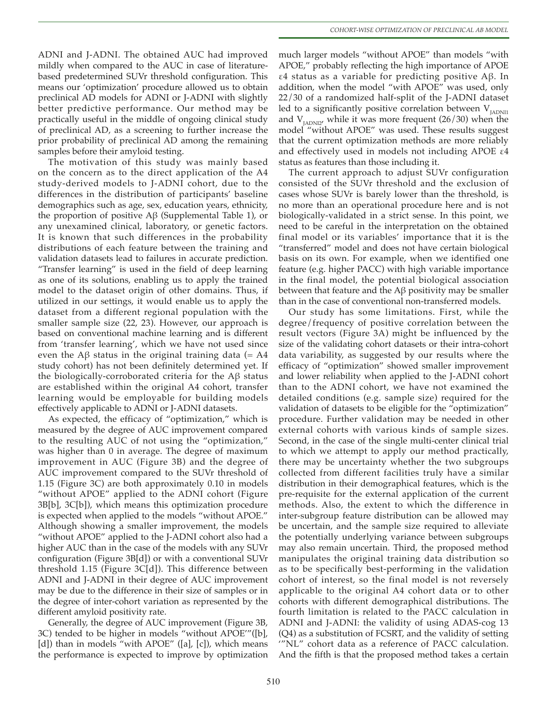ADNI and J-ADNI. The obtained AUC had improved mildly when compared to the AUC in case of literaturebased predetermined SUVr threshold configuration. This means our 'optimization' procedure allowed us to obtain preclinical AD models for ADNI or J-ADNI with slightly better predictive performance. Our method may be practically useful in the middle of ongoing clinical study of preclinical AD, as a screening to further increase the prior probability of preclinical AD among the remaining samples before their amyloid testing.

The motivation of this study was mainly based on the concern as to the direct application of the A4 study-derived models to J-ADNI cohort, due to the differences in the distribution of participants' baseline demographics such as age, sex, education years, ethnicity, the proportion of positive Aβ (Supplemental Table 1), or any unexamined clinical, laboratory, or genetic factors. It is known that such differences in the probability distributions of each feature between the training and validation datasets lead to failures in accurate prediction. "Transfer learning" is used in the field of deep learning as one of its solutions, enabling us to apply the trained model to the dataset origin of other domains. Thus, if utilized in our settings, it would enable us to apply the dataset from a different regional population with the smaller sample size (22, 23). However, our approach is based on conventional machine learning and is different from 'transfer learning', which we have not used since even the Aβ status in the original training data (= A4 study cohort) has not been definitely determined yet. If the biologically-corroborated criteria for the Aβ status are established within the original A4 cohort, transfer learning would be employable for building models effectively applicable to ADNI or J-ADNI datasets.

As expected, the efficacy of "optimization," which is measured by the degree of AUC improvement compared to the resulting AUC of not using the "optimization," was higher than 0 in average. The degree of maximum improvement in AUC (Figure 3B) and the degree of AUC improvement compared to the SUVr threshold of 1.15 (Figure 3C) are both approximately 0.10 in models "without APOE" applied to the ADNI cohort (Figure 3B[b], 3C[b]), which means this optimization procedure is expected when applied to the models "without APOE." Although showing a smaller improvement, the models "without APOE" applied to the J-ADNI cohort also had a higher AUC than in the case of the models with any SUVr configuration (Figure 3B[d]) or with a conventional SUVr threshold 1.15 (Figure 3C[d]). This difference between ADNI and J-ADNI in their degree of AUC improvement may be due to the difference in their size of samples or in the degree of inter-cohort variation as represented by the different amyloid positivity rate.

Generally, the degree of AUC improvement (Figure 3B, 3C) tended to be higher in models "without APOE'"([b], [d]) than in models "with APOE" ([a], [c]), which means the performance is expected to improve by optimization much larger models "without APOE" than models "with APOE," probably reflecting the high importance of APOE ε4 status as a variable for predicting positive Aβ. In addition, when the model "with APOE" was used, only 22/30 of a randomized half-split of the J-ADNI dataset led to a significantly positive correlation between  $V_{JADN11}$ and  $V_{IADNI2'}$  while it was more frequent (26/30) when the model "without APOE" was used. These results suggest that the current optimization methods are more reliably and effectively used in models not including APOE ε4 status as features than those including it.

The current approach to adjust SUVr configuration consisted of the SUVr threshold and the exclusion of cases whose SUVr is barely lower than the threshold, is no more than an operational procedure here and is not biologically-validated in a strict sense. In this point, we need to be careful in the interpretation on the obtained final model or its variables' importance that it is the "transferred" model and does not have certain biological basis on its own. For example, when we identified one feature (e.g. higher PACC) with high variable importance in the final model, the potential biological association between that feature and the Aβ positivity may be smaller than in the case of conventional non-transferred models.

Our study has some limitations. First, while the degree/frequency of positive correlation between the result vectors (Figure 3A) might be influenced by the size of the validating cohort datasets or their intra-cohort data variability, as suggested by our results where the efficacy of "optimization" showed smaller improvement and lower reliability when applied to the J-ADNI cohort than to the ADNI cohort, we have not examined the detailed conditions (e.g. sample size) required for the validation of datasets to be eligible for the "optimization" procedure. Further validation may be needed in other external cohorts with various kinds of sample sizes. Second, in the case of the single multi-center clinical trial to which we attempt to apply our method practically, there may be uncertainty whether the two subgroups collected from different facilities truly have a similar distribution in their demographical features, which is the pre-requisite for the external application of the current methods. Also, the extent to which the difference in inter-subgroup feature distribution can be allowed may be uncertain, and the sample size required to alleviate the potentially underlying variance between subgroups may also remain uncertain. Third, the proposed method manipulates the original training data distribution so as to be specifically best-performing in the validation cohort of interest, so the final model is not reversely applicable to the original A4 cohort data or to other cohorts with different demographical distributions. The fourth limitation is related to the PACC calculation in ADNI and J-ADNI: the validity of using ADAS-cog 13 (Q4) as a substitution of FCSRT, and the validity of setting '"NL" cohort data as a reference of PACC calculation. And the fifth is that the proposed method takes a certain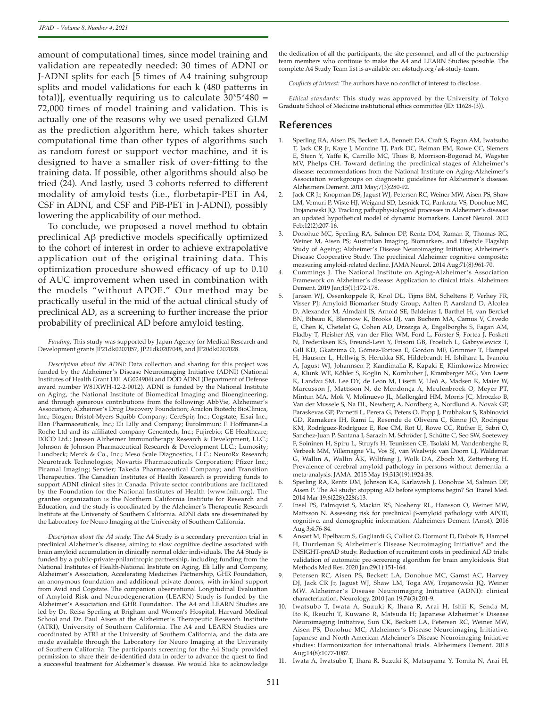amount of computational times, since model training and validation are repeatedly needed: 30 times of ADNI or J-ADNI splits for each [5 times of A4 training subgroup splits and model validations for each k (480 patterns in total)], eventually requiring us to calculate  $30*5*480 =$ 72,000 times of model training and validation. This is actually one of the reasons why we used penalized GLM as the prediction algorithm here, which takes shorter computational time than other types of algorithms such as random forest or support vector machine, and it is designed to have a smaller risk of over-fitting to the training data. If possible, other algorithms should also be tried (24). And lastly, used 3 cohorts referred to different modality of amyloid tests (i.e., florbetapir-PET in A4, CSF in ADNI, and CSF and PiB-PET in J-ADNI), possibly lowering the applicability of our method.

To conclude, we proposed a novel method to obtain preclinical Aβ predictive models specifically optimized to the cohort of interest in order to achieve extrapolative application out of the original training data. This optimization procedure showed efficacy of up to 0.10 of AUC improvement when used in combination with the models "without APOE." Our method may be practically useful in the mid of the actual clinical study of preclinical AD, as a screening to further increase the prior probability of preclinical AD before amyloid testing.

*Funding:* This study was supported by Japan Agency for Medical Research and Development grants JP21dk0207057, JP21dk0207048, and JP20dk0207028.

*Description about the ADNI:* Data collection and sharing for this project was funded by the Alzheimer's Disease Neuroimaging Initiative (ADNI) (National Institutes of Health Grant U01 AG024904) and DOD ADNI (Department of Defense award number W81XWH-12-2-0012). ADNI is funded by the National Institute on Aging, the National Institute of Biomedical Imaging and Bioengineering, and through generous contributions from the following: AbbVie, Alzheimer's Association; Alzheimer's Drug Discovery Foundation; Araclon Biotech; BioClinica, Inc.; Biogen; Bristol-Myers Squibb Company; CereSpir, Inc.; Cogstate; Eisai Inc.; Elan Pharmaceuticals, Inc.; Eli Lilly and Company; EuroImmun; F. Hoffmann-La Roche Ltd and its affiliated company Genentech, Inc.; Fujirebio; GE Healthcare; IXICO Ltd.; Janssen Alzheimer Immunotherapy Research & Development, LLC.; Johnson & Johnson Pharmaceutical Research & Development LLC.; Lumosity; Lundbeck; Merck & Co., Inc.; Meso Scale Diagnostics, LLC.; NeuroRx Research; Neurotrack Technologies; Novartis Pharmaceuticals Corporation; Pfizer Inc.; Piramal Imaging; Servier; Takeda Pharmaceutical Company; and Transition Therapeutics. The Canadian Institutes of Health Research is providing funds to support ADNI clinical sites in Canada. Private sector contributions are facilitated by the Foundation for the National Institutes of Health (www.fnih.org). The grantee organization is the Northern California Institute for Research and Education, and the study is coordinated by the Alzheimer's Therapeutic Research Institute at the University of Southern California. ADNI data are disseminated by the Laboratory for Neuro Imaging at the University of Southern California.

*Description about the A4 study:* The A4 Study is a secondary prevention trial in preclinical Alzheimer's disease, aiming to slow cognitive decline associated with brain amyloid accumulation in clinically normal older individuals. The A4 Study is funded by a public-private-philanthropic partnership, including funding from the National Institutes of Health-National Institute on Aging, Eli Lilly and Company, Alzheimer's Association, Accelerating Medicines Partnership, GHR Foundation, an anonymous foundation and additional private donors, with in-kind support from Avid and Cogstate. The companion observational Longitudinal Evaluation of Amyloid Risk and Neurodegeneration (LEARN) Study is funded by the Alzheimer's Association and GHR Foundation. The A4 and LEARN Studies are led by Dr. Reisa Sperling at Brigham and Women's Hospital, Harvard Medical School and Dr. Paul Aisen at the Alzheimer's Therapeutic Research Institute (ATRI), University of Southern California. The A4 and LEARN Studies are coordinated by ATRI at the University of Southern California, and the data are made available through the Laboratory for Neuro Imaging at the University of Southern California. The participants screening for the A4 Study provided permission to share their de-identified data in order to advance the quest to find a successful treatment for Alzheimer's disease. We would like to acknowledge

the dedication of all the participants, the site personnel, and all of the partnership team members who continue to make the A4 and LEARN Studies possible. The complete A4 Study Team list is available on: a4study.org/a4-study-team.

*Conflicts of interest:* The authors have no conflict of interest to disclose.

*Ethical standards:* This study was approved by the University of Tokyo Graduate School of Medicine institutional ethics committee (ID: 11628-(3)).

#### **References**

- 1. Sperling RA, Aisen PS, Beckett LA, Bennett DA, Craft S, Fagan AM, Iwatsubo T, Jack CR Jr, Kaye J, Montine TJ, Park DC, Reiman EM, Rowe CC, Siemers E, Stern Y, Yaffe K, Carrillo MC, Thies B, Morrison-Bogorad M, Wagster MV, Phelps CH. Toward defining the preclinical stages of Alzheimer's disease: recommendations from the National Institute on Aging-Alzheimer's Association workgroups on diagnostic guidelines for Alzheimer's disease. Alzheimers Dement. 2011 May;7(3):280-92.
- 2. Jack CR Jr, Knopman DS, Jagust WJ, Petersen RC, Weiner MW, Aisen PS, Shaw LM, Vemuri P, Wiste HJ, Weigand SD, Lesnick TG, Pankratz VS, Donohue MC, Trojanowski JQ. Tracking pathophysiological processes in Alzheimer's disease: an updated hypothetical model of dynamic biomarkers. Lancet Neurol. 2013 Feb;12(2):207-16.
- 3. Donohue MC, Sperling RA, Salmon DP, Rentz DM, Raman R, Thomas RG, Weiner M, Aisen PS; Australian Imaging, Biomarkers, and Lifestyle Flagship Study of Ageing; Alzheimer's Disease Neuroimaging Initiative; Alzheimer's Disease Cooperative Study. The preclinical Alzheimer cognitive composite: measuring amyloid-related decline. JAMA Neurol. 2014 Aug;71(8):961-70.
- 4. Cummings J. The National Institute on Aging-Alzheimer's Association Framework on Alzheimer's disease: Application to clinical trials. Alzheimers Dement. 2019 Jan;15(1):172-178.
- Jansen WJ, Ossenkoppele R, Knol DL, Tijms BM, Scheltens P, Verhey FR, Visser PJ; Amyloid Biomarker Study Group, Aalten P, Aarsland D, Alcolea D, Alexander M, Almdahl IS, Arnold SE, Baldeiras I, Barthel H, van Berckel BN, Bibeau K, Blennow K, Brooks DJ, van Buchem MA, Camus V, Cavedo E, Chen K, Chetelat G, Cohen AD, Drzezga A, Engelborghs S, Fagan AM, Fladby T, Fleisher AS, van der Flier WM, Ford L, Förster S, Fortea J, Foskett N, Frederiksen KS, Freund-Levi Y, Frisoni GB, Froelich L, Gabryelewicz T, Gill KD, Gkatzima O, Gómez-Tortosa E, Gordon MF, Grimmer T, Hampel H, Hausner L, Hellwig S, Herukka SK, Hildebrandt H, Ishihara L, Ivanoiu A, Jagust WJ, Johannsen P, Kandimalla R, Kapaki E, Klimkowicz-Mrowiec A, Klunk WE, Köhler S, Koglin N, Kornhuber J, Kramberger MG, Van Laere K, Landau SM, Lee DY, de Leon M, Lisetti V, Lleó A, Madsen K, Maier W, Marcusson J, Mattsson N, de Mendonça A, Meulenbroek O, Meyer PT, Mintun MA, Mok V, Molinuevo JL, Møllergård HM, Morris JC, Mroczko B, Van der Mussele S, Na DL, Newberg A, Nordberg A, Nordlund A, Novak GP, Paraskevas GP, Parnetti L, Perera G, Peters O, Popp J, Prabhakar S, Rabinovici GD, Ramakers IH, Rami L, Resende de Oliveira C, Rinne JO, Rodrigue KM, Rodríguez-Rodríguez E, Roe CM, Rot U, Rowe CC, Rüther E, Sabri O, Sanchez-Juan P, Santana I, Sarazin M, Schröder J, Schütte C, Seo SW, Soetewey F, Soininen H, Spiru L, Struyfs H, Teunissen CE, Tsolaki M, Vandenberghe R, Verbeek MM, Villemagne VL, Vos SJ, van Waalwijk van Doorn LJ, Waldemar G, Wallin A, Wallin ÅK, Wiltfang J, Wolk DA, Zboch M, Zetterberg H. Prevalence of cerebral amyloid pathology in persons without dementia: a meta-analysis. JAMA. 2015 May 19;313(19):1924-38.
- 6. Sperling RA, Rentz DM, Johnson KA, Karlawish J, Donohue M, Salmon DP, Aisen P. The A4 study: stopping AD before symptoms begin? Sci Transl Med. 2014 Mar 19;6(228):228fs13.
- 7. Insel PS, Palmqvist S, Mackin RS, Nosheny RL, Hansson O, Weiner MW, Mattsson N. Assessing risk for preclinical β-amyloid pathology with APOE, cognitive, and demographic information. Alzheimers Dement (Amst). 2016 Aug 3;4:76-84.
- 8. Ansart M, Epelbaum S, Gagliardi G, Colliot O, Dormont D, Dubois B, Hampel H, Durrleman S; Alzheimer's Disease Neuroimaging Initiative\* and the INSIGHT-preAD study. Reduction of recruitment costs in preclinical AD trials: validation of automatic pre-screening algorithm for brain amyloidosis. Stat Methods Med Res. 2020 Jan;29(1):151-164.
- 9. Petersen RC, Aisen PS, Beckett LA, Donohue MC, Gamst AC, Harvey DJ, Jack CR Jr, Jagust WJ, Shaw LM, Toga AW, Trojanowski JQ, Weiner MW. Alzheimer 's Disease Neuroimaging Initiative (ADNI): clinical characterization. Neurology. 2010 Jan 19;74(3):201-9.
- 10. Iwatsubo T, Iwata A, Suzuki K, Ihara R, Arai H, Ishii K, Senda M, Ito K, Ikeuchi T, Kuwano R, Matsuda H; Japanese Alzheimer's Disease Neuroimaging Initiative, Sun CK, Beckett LA, Petersen RC, Weiner MW, Aisen PS, Donohue MC; Alzheimer's Disease Neuroimaging Initiative. Japanese and North American Alzheimer's Disease Neuroimaging Initiative studies: Harmonization for international trials. Alzheimers Dement. 2018 Aug;14(8):1077-1087.
- 11. Iwata A, Iwatsubo T, Ihara R, Suzuki K, Matsuyama Y, Tomita N, Arai H,